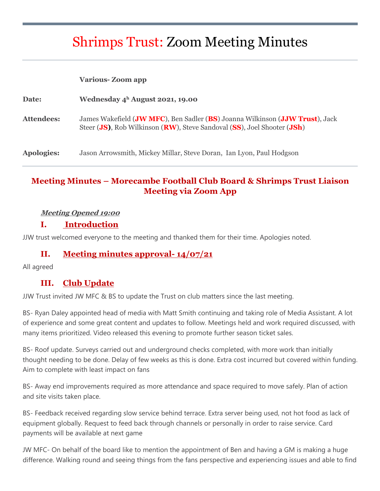# Shrimps Trust: Zoom Meeting Minutes

|                   | <b>Various-Zoom app</b>                                                                                                                                 |
|-------------------|---------------------------------------------------------------------------------------------------------------------------------------------------------|
| Date:             | Wednesday $4^h$ August 2021, 19.00                                                                                                                      |
| Attendees:        | James Wakefield (JW MFC), Ben Sadler (BS) Joanna Wilkinson (JJW Trust), Jack<br>Steer (JS), Rob Wilkinson (RW), Steve Sandoval (SS), Joel Shooter (JSh) |
| <b>Apologies:</b> | Jason Arrowsmith, Mickey Millar, Steve Doran, Ian Lyon, Paul Hodgson                                                                                    |

# **Meeting Minutes – Morecambe Football Club Board & Shrimps Trust Liaison Meeting via Zoom App**

#### **Meeting Opened 19:00**

#### **I. Introduction**

JJW trust welcomed everyone to the meeting and thanked them for their time. Apologies noted.

#### **II. Meeting minutes approval- 14/07/21**

All agreed

### **III. Club Update**

JJW Trust invited JW MFC & BS to update the Trust on club matters since the last meeting.

BS- Ryan Daley appointed head of media with Matt Smith continuing and taking role of Media Assistant. A lot of experience and some great content and updates to follow. Meetings held and work required discussed, with many items prioritized. Video released this evening to promote further season ticket sales.

BS- Roof update. Surveys carried out and underground checks completed, with more work than initially thought needing to be done. Delay of few weeks as this is done. Extra cost incurred but covered within funding. Aim to complete with least impact on fans

BS- Away end improvements required as more attendance and space required to move safely. Plan of action and site visits taken place.

BS- Feedback received regarding slow service behind terrace. Extra server being used, not hot food as lack of equipment globally. Request to feed back through channels or personally in order to raise service. Card payments will be available at next game

JW MFC- On behalf of the board like to mention the appointment of Ben and having a GM is making a huge difference. Walking round and seeing things from the fans perspective and experiencing issues and able to find